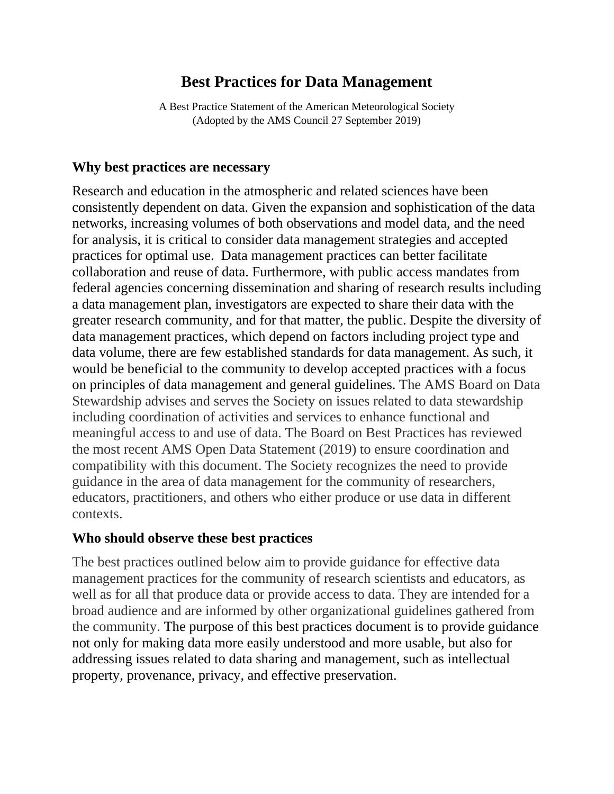# **Best Practices for Data Management**

A Best Practice Statement of the American Meteorological Society (Adopted by the AMS Council 27 September 2019)

#### **Why best practices are necessary**

Research and education in the atmospheric and related sciences have been consistently dependent on data. Given the expansion and sophistication of the data networks, increasing volumes of both observations and model data, and the need for analysis, it is critical to consider data management strategies and accepted practices for optimal use. Data management practices can better facilitate collaboration and reuse of data. Furthermore, with public access mandates from federal agencies concerning dissemination and sharing of research results including a data management plan, investigators are expected to share their data with the greater research community, and for that matter, the public. Despite the diversity of data management practices, which depend on factors including project type and data volume, there are few established standards for data management. As such, it would be beneficial to the community to develop accepted practices with a focus on principles of data management and general guidelines. The AMS Board on Data Stewardship advises and serves the Society on issues related to data stewardship including coordination of activities and services to enhance functional and meaningful access to and use of data. The Board on Best Practices has reviewed the most recent AMS Open Data Statement (2019) to ensure coordination and compatibility with this document. The Society recognizes the need to provide guidance in the area of data management for the community of researchers, educators, practitioners, and others who either produce or use data in different contexts.

#### **Who should observe these best practices**

The best practices outlined below aim to provide guidance for effective data management practices for the community of research scientists and educators, as well as for all that produce data or provide access to data. They are intended for a broad audience and are informed by other organizational guidelines gathered from the community. The purpose of this best practices document is to provide guidance not only for making data more easily understood and more usable, but also for addressing issues related to data sharing and management, such as intellectual property, provenance, privacy, and effective preservation.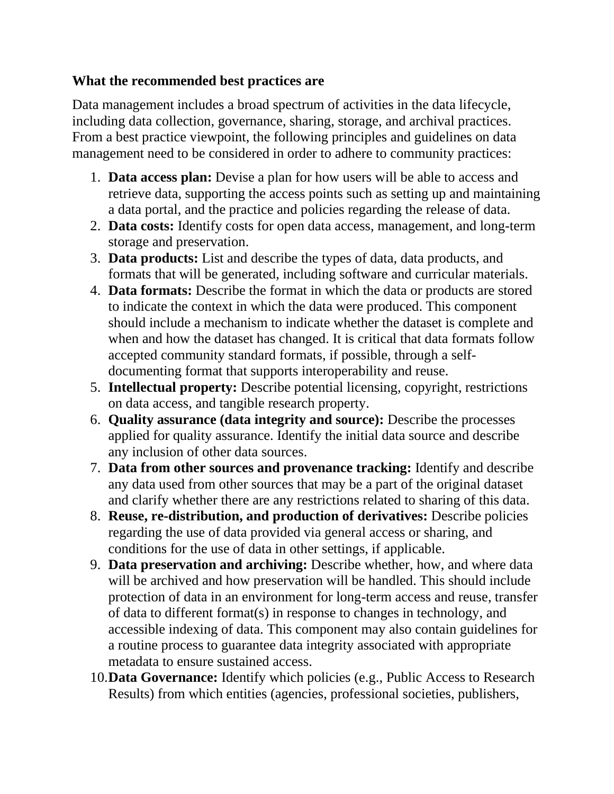### **What the recommended best practices are**

Data management includes a broad spectrum of activities in the data lifecycle, including data collection, governance, sharing, storage, and archival practices. From a best practice viewpoint, the following principles and guidelines on data management need to be considered in order to adhere to community practices:

- 1. **Data access plan:** Devise a plan for how users will be able to access and retrieve data, supporting the access points such as setting up and maintaining a data portal, and the practice and policies regarding the release of data.
- 2. **Data costs:** Identify costs for open data access, management, and long-term storage and preservation.
- 3. **Data products:** List and describe the types of data, data products, and formats that will be generated, including software and curricular materials.
- 4. **Data formats:** Describe the format in which the data or products are stored to indicate the context in which the data were produced. This component should include a mechanism to indicate whether the dataset is complete and when and how the dataset has changed. It is critical that data formats follow accepted community standard formats, if possible, through a selfdocumenting format that supports interoperability and reuse.
- 5. **Intellectual property:** Describe potential licensing, copyright, restrictions on data access, and tangible research property.
- 6. **Quality assurance (data integrity and source):** Describe the processes applied for quality assurance. Identify the initial data source and describe any inclusion of other data sources.
- 7. **Data from other sources and provenance tracking:** Identify and describe any data used from other sources that may be a part of the original dataset and clarify whether there are any restrictions related to sharing of this data.
- 8. **Reuse, re-distribution, and production of derivatives:** Describe policies regarding the use of data provided via general access or sharing, and conditions for the use of data in other settings, if applicable.
- 9. **Data preservation and archiving:** Describe whether, how, and where data will be archived and how preservation will be handled. This should include protection of data in an environment for long-term access and reuse, transfer of data to different format(s) in response to changes in technology, and accessible indexing of data. This component may also contain guidelines for a routine process to guarantee data integrity associated with appropriate metadata to ensure sustained access.
- 10.**Data Governance:** Identify which policies (e.g., Public Access to Research Results) from which entities (agencies, professional societies, publishers,